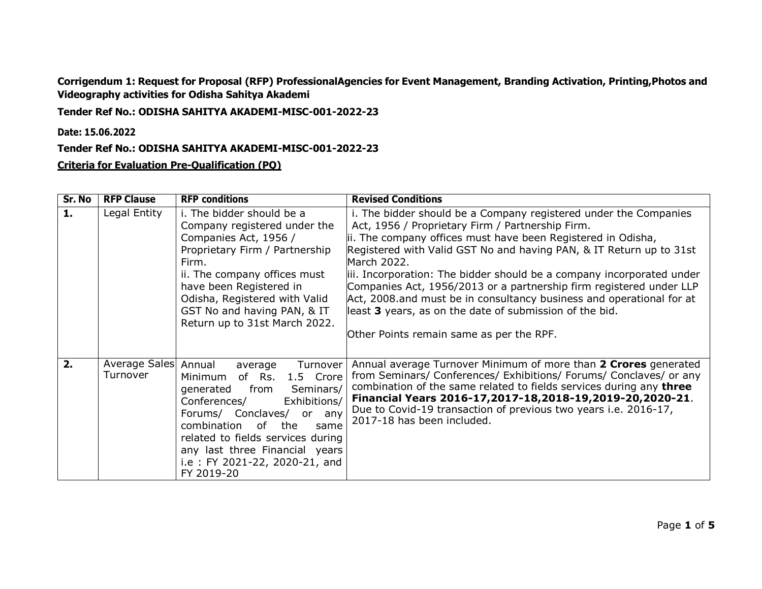**Corrigendum 1: Request for Proposal (RFP) ProfessionalAgencies for Event Management, Branding Activation, Printing,Photos and Videography activities for Odisha Sahitya Akademi** 

**Tender Ref No.: ODISHA SAHITYA AKADEMI-MISC-001-2022-23** 

**Date: 15.06.2022**

**Tender Ref No.: ODISHA SAHITYA AKADEMI-MISC-001-2022-23** 

**Criteria for Evaluation Pre-Qualification (PQ)**

| Sr. No | <b>RFP Clause</b>         | <b>RFP conditions</b>                                                                                                                                                                                                                                                                                                    | <b>Revised Conditions</b>                                                                                                                                                                                                                                                                                                                                                                                                                                                                                                                                                                                 |
|--------|---------------------------|--------------------------------------------------------------------------------------------------------------------------------------------------------------------------------------------------------------------------------------------------------------------------------------------------------------------------|-----------------------------------------------------------------------------------------------------------------------------------------------------------------------------------------------------------------------------------------------------------------------------------------------------------------------------------------------------------------------------------------------------------------------------------------------------------------------------------------------------------------------------------------------------------------------------------------------------------|
| 1.     | Legal Entity              | i. The bidder should be a<br>Company registered under the<br>Companies Act, 1956 /<br>Proprietary Firm / Partnership<br>Firm.<br>ii. The company offices must<br>have been Registered in<br>Odisha, Registered with Valid<br>GST No and having PAN, & IT<br>Return up to 31st March 2022.                                | i. The bidder should be a Company registered under the Companies<br>Act, 1956 / Proprietary Firm / Partnership Firm.<br>ii. The company offices must have been Registered in Odisha,<br>Registered with Valid GST No and having PAN, & IT Return up to 31st<br>March 2022.<br>iii. Incorporation: The bidder should be a company incorporated under<br>Companies Act, 1956/2013 or a partnership firm registered under LLP<br>Act, 2008.and must be in consultancy business and operational for at<br>least 3 years, as on the date of submission of the bid.<br>Other Points remain same as per the RPF. |
| 2.     | Average Sales<br>Turnover | Annual<br>Turnover<br>average<br>1.5 Crore<br>Minimum<br>of Rs.<br>from<br>Seminars/<br>generated<br>Exhibitions/<br>Conferences/<br>Forums/ Conclaves/ or any<br>combination<br>0f<br>the<br>same<br>related to fields services during<br>any last three Financial years<br>i.e: FY 2021-22, 2020-21, and<br>FY 2019-20 | Annual average Turnover Minimum of more than 2 Crores generated<br>from Seminars/ Conferences/ Exhibitions/ Forums/ Conclaves/ or any<br>combination of the same related to fields services during any three<br>Financial Years 2016-17,2017-18,2018-19,2019-20,2020-21.<br>Due to Covid-19 transaction of previous two years i.e. 2016-17,<br>2017-18 has been included.                                                                                                                                                                                                                                 |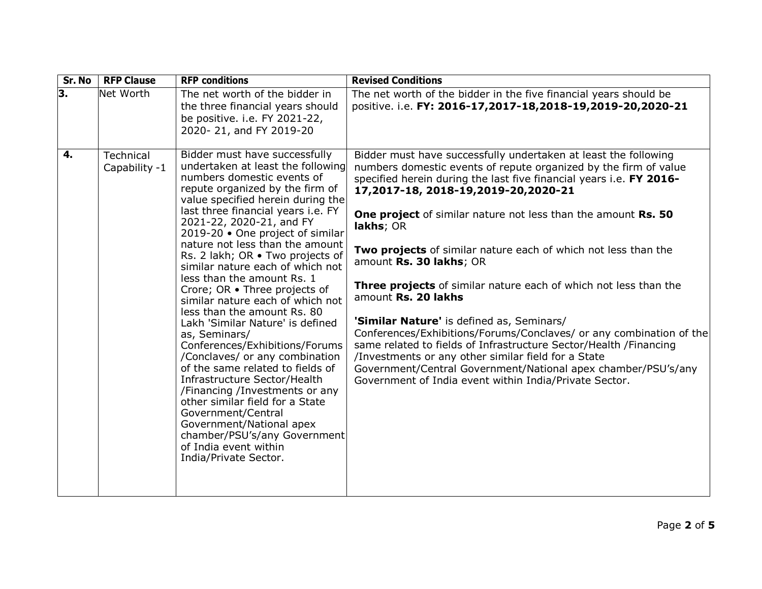| Sr. No                    | <b>RFP Clause</b>          | <b>RFP</b> conditions                                                                                                                                                                                                                                                                                                                                                                                                                                                                                                                                                                                                                                                                                                                                                                                                                                                                                                             | <b>Revised Conditions</b>                                                                                                                                                                                                                                                                                                                                                                                                                                                                                                                                                                                                                                                                                                                                                                                                                                                                          |
|---------------------------|----------------------------|-----------------------------------------------------------------------------------------------------------------------------------------------------------------------------------------------------------------------------------------------------------------------------------------------------------------------------------------------------------------------------------------------------------------------------------------------------------------------------------------------------------------------------------------------------------------------------------------------------------------------------------------------------------------------------------------------------------------------------------------------------------------------------------------------------------------------------------------------------------------------------------------------------------------------------------|----------------------------------------------------------------------------------------------------------------------------------------------------------------------------------------------------------------------------------------------------------------------------------------------------------------------------------------------------------------------------------------------------------------------------------------------------------------------------------------------------------------------------------------------------------------------------------------------------------------------------------------------------------------------------------------------------------------------------------------------------------------------------------------------------------------------------------------------------------------------------------------------------|
| $\overline{\mathbf{3}}$ . | Net Worth                  | The net worth of the bidder in<br>the three financial years should<br>be positive. i.e. FY 2021-22,<br>2020-21, and FY 2019-20                                                                                                                                                                                                                                                                                                                                                                                                                                                                                                                                                                                                                                                                                                                                                                                                    | The net worth of the bidder in the five financial years should be<br>positive. i.e. FY: 2016-17,2017-18,2018-19,2019-20,2020-21                                                                                                                                                                                                                                                                                                                                                                                                                                                                                                                                                                                                                                                                                                                                                                    |
| 4.                        | Technical<br>Capability -1 | Bidder must have successfully<br>undertaken at least the following<br>numbers domestic events of<br>repute organized by the firm of<br>value specified herein during the<br>last three financial years i.e. FY<br>2021-22, 2020-21, and FY<br>2019-20 · One project of similar<br>nature not less than the amount<br>Rs. 2 lakh; OR . Two projects of<br>similar nature each of which not<br>less than the amount Rs. 1<br>Crore; OR . Three projects of<br>similar nature each of which not<br>less than the amount Rs. 80<br>Lakh 'Similar Nature' is defined<br>as, Seminars/<br>Conferences/Exhibitions/Forums<br>/Conclaves/ or any combination<br>of the same related to fields of<br>Infrastructure Sector/Health<br>/Financing /Investments or any<br>other similar field for a State<br>Government/Central<br>Government/National apex<br>chamber/PSU's/any Government<br>of India event within<br>India/Private Sector. | Bidder must have successfully undertaken at least the following<br>numbers domestic events of repute organized by the firm of value<br>specified herein during the last five financial years i.e. FY 2016-<br>17,2017-18, 2018-19,2019-20,2020-21<br>One project of similar nature not less than the amount Rs. 50<br>lakhs; OR<br>Two projects of similar nature each of which not less than the<br>amount Rs. 30 lakhs; OR<br>Three projects of similar nature each of which not less than the<br>amount Rs. 20 lakhs<br>'Similar Nature' is defined as, Seminars/<br>Conferences/Exhibitions/Forums/Conclaves/ or any combination of the<br>same related to fields of Infrastructure Sector/Health /Financing<br>/Investments or any other similar field for a State<br>Government/Central Government/National apex chamber/PSU's/any<br>Government of India event within India/Private Sector. |
|                           |                            |                                                                                                                                                                                                                                                                                                                                                                                                                                                                                                                                                                                                                                                                                                                                                                                                                                                                                                                                   |                                                                                                                                                                                                                                                                                                                                                                                                                                                                                                                                                                                                                                                                                                                                                                                                                                                                                                    |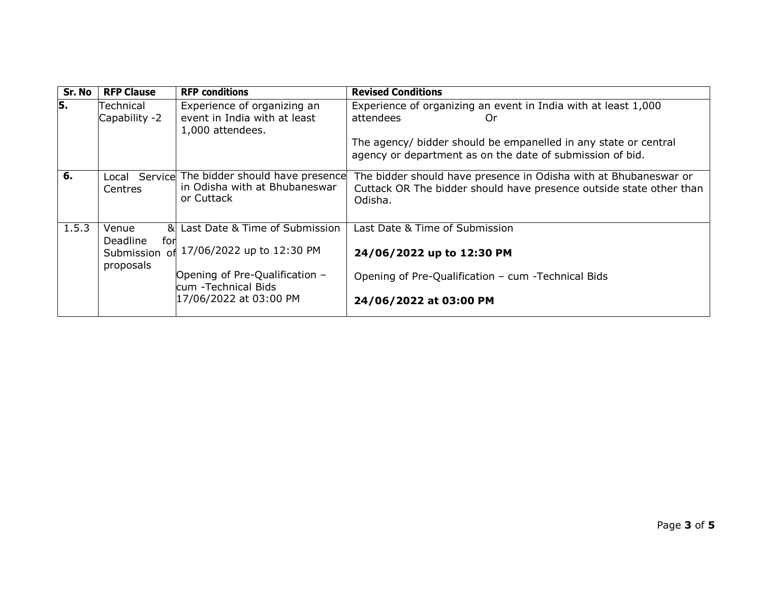| Sr. No | <b>RFP Clause</b>            | <b>RFP</b> conditions                                                                        | <b>Revised Conditions</b>                                                                                                                          |
|--------|------------------------------|----------------------------------------------------------------------------------------------|----------------------------------------------------------------------------------------------------------------------------------------------------|
| 5.     | Technical<br>Capability -2   | Experience of organizing an<br>event in India with at least<br>1,000 attendees.              | Experience of organizing an event in India with at least 1,000<br>attendees<br>Or                                                                  |
|        |                              |                                                                                              | The agency/ bidder should be empanelled in any state or central<br>agency or department as on the date of submission of bid.                       |
| 6.     | <b>Centres</b>               | Local Service The bidder should have presence<br>in Odisha with at Bhubaneswar<br>or Cuttack | The bidder should have presence in Odisha with at Bhubaneswar or<br>Cuttack OR The bidder should have presence outside state other than<br>Odisha. |
| 1.5.3  | $\mathbf{a}$<br>Venue        | Last Date & Time of Submission                                                               | Last Date & Time of Submission                                                                                                                     |
|        | Deadline<br>for<br>proposals | Submission of 17/06/2022 up to 12:30 PM                                                      | 24/06/2022 up to 12:30 PM                                                                                                                          |
|        |                              | Opening of Pre-Qualification -<br>cum - Technical Bids                                       | Opening of Pre-Qualification - cum -Technical Bids                                                                                                 |
|        |                              | 17/06/2022 at 03:00 PM                                                                       | 24/06/2022 at 03:00 PM                                                                                                                             |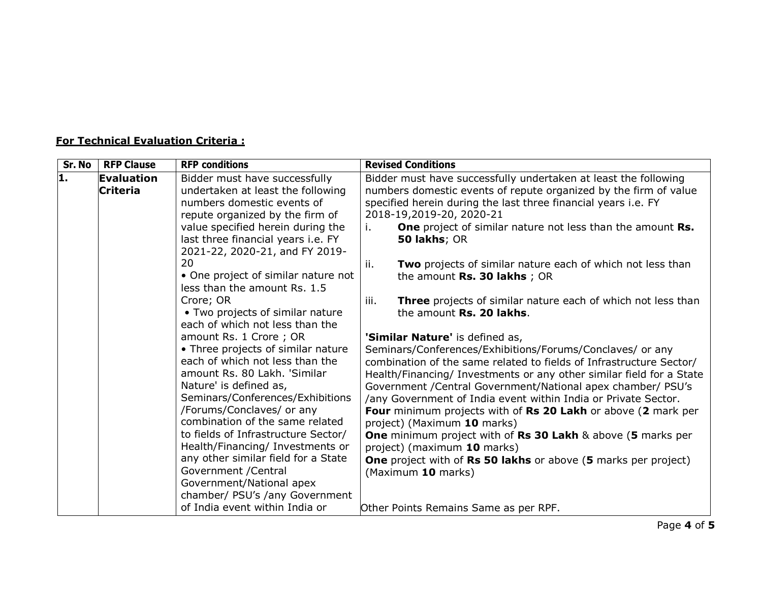## **For Technical Evaluation Criteria :**

| Sr. No | <b>RFP Clause</b> | <b>RFP conditions</b>                                        | <b>Revised Conditions</b>                                                   |
|--------|-------------------|--------------------------------------------------------------|-----------------------------------------------------------------------------|
| 1.     | Evaluation        | Bidder must have successfully                                | Bidder must have successfully undertaken at least the following             |
|        | <b>Criteria</b>   | undertaken at least the following                            | numbers domestic events of repute organized by the firm of value            |
|        |                   | numbers domestic events of                                   | specified herein during the last three financial years i.e. FY              |
|        |                   | repute organized by the firm of                              | 2018-19,2019-20, 2020-21                                                    |
|        |                   | value specified herein during the                            | <b>One</b> project of similar nature not less than the amount Rs.<br>i.     |
|        |                   | last three financial years i.e. FY                           | 50 lakhs; OR                                                                |
|        |                   | 2021-22, 2020-21, and FY 2019-                               |                                                                             |
|        |                   | 20                                                           | ji.<br>Two projects of similar nature each of which not less than           |
|        |                   | • One project of similar nature not                          | the amount $Rs. 30$ lakhs; OR                                               |
|        |                   | less than the amount Rs. 1.5                                 |                                                                             |
|        |                   | Crore; OR                                                    | <b>Three</b> projects of similar nature each of which not less than<br>iii. |
|        |                   | • Two projects of similar nature                             | the amount Rs. 20 lakhs.                                                    |
|        |                   | each of which not less than the                              |                                                                             |
|        |                   | amount Rs. 1 Crore; OR                                       | 'Similar Nature' is defined as,                                             |
|        |                   | • Three projects of similar nature                           | Seminars/Conferences/Exhibitions/Forums/Conclaves/ or any                   |
|        |                   | each of which not less than the                              | combination of the same related to fields of Infrastructure Sector/         |
|        |                   | amount Rs. 80 Lakh. 'Similar                                 | Health/Financing/ Investments or any other similar field for a State        |
|        |                   | Nature' is defined as,                                       | Government / Central Government/National apex chamber/ PSU's                |
|        |                   | Seminars/Conferences/Exhibitions                             | /any Government of India event within India or Private Sector.              |
|        |                   | /Forums/Conclaves/ or any<br>combination of the same related | Four minimum projects with of Rs 20 Lakh or above (2 mark per               |
|        |                   |                                                              | project) (Maximum 10 marks)                                                 |
|        |                   | to fields of Infrastructure Sector/                          | <b>One</b> minimum project with of Rs 30 Lakh & above (5 marks per          |
|        |                   | Health/Financing/ Investments or                             | project) (maximum 10 marks)                                                 |
|        |                   | any other similar field for a State<br>Government / Central  | <b>One</b> project with of Rs 50 lakhs or above (5 marks per project)       |
|        |                   | Government/National apex                                     | (Maximum 10 marks)                                                          |
|        |                   | chamber/ PSU's /any Government                               |                                                                             |
|        |                   | of India event within India or                               |                                                                             |
|        |                   |                                                              | Other Points Remains Same as per RPF.                                       |